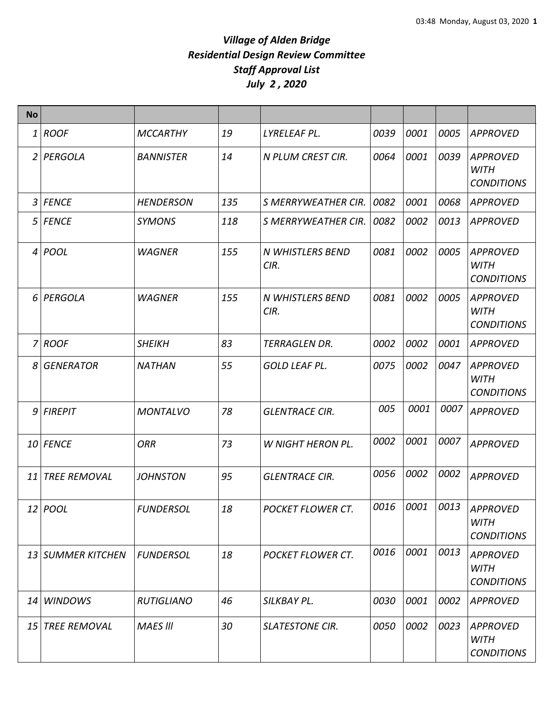| <b>No</b>    |                     |                   |     |                          |      |      |      |                                                     |
|--------------|---------------------|-------------------|-----|--------------------------|------|------|------|-----------------------------------------------------|
| 1            | <b>ROOF</b>         | <b>MCCARTHY</b>   | 19  | LYRELEAF PL.             | 0039 | 0001 | 0005 | <b>APPROVED</b>                                     |
| 2            | PERGOLA             | <b>BANNISTER</b>  | 14  | N PLUM CREST CIR.        | 0064 | 0001 | 0039 | <b>APPROVED</b><br><b>WITH</b><br><b>CONDITIONS</b> |
| $\mathbf{3}$ | <b>FENCE</b>        | <b>HENDERSON</b>  | 135 | S MERRYWEATHER CIR.      | 0082 | 0001 | 0068 | <b>APPROVED</b>                                     |
| 5            | <b>FENCE</b>        | <b>SYMONS</b>     | 118 | S MERRYWEATHER CIR.      | 0082 | 0002 | 0013 | <b>APPROVED</b>                                     |
|              | $4 $ POOL           | <b>WAGNER</b>     | 155 | N WHISTLERS BEND<br>CIR. | 0081 | 0002 | 0005 | APPROVED<br><b>WITH</b><br><b>CONDITIONS</b>        |
| 6            | PERGOLA             | <b>WAGNER</b>     | 155 | N WHISTLERS BEND<br>CIR. | 0081 | 0002 | 0005 | <b>APPROVED</b><br><b>WITH</b><br><b>CONDITIONS</b> |
| 7            | <b>ROOF</b>         | <b>SHEIKH</b>     | 83  | <b>TERRAGLEN DR.</b>     | 0002 | 0002 | 0001 | <b>APPROVED</b>                                     |
| 8            | <b>GENERATOR</b>    | <b>NATHAN</b>     | 55  | <b>GOLD LEAF PL.</b>     | 0075 | 0002 | 0047 | <b>APPROVED</b><br>WITH<br><b>CONDITIONS</b>        |
|              | $9$ FIREPIT         | <b>MONTALVO</b>   | 78  | <b>GLENTRACE CIR.</b>    | 005  | 0001 | 0007 | <b>APPROVED</b>                                     |
|              | 10 FENCE            | <b>ORR</b>        | 73  | <b>W NIGHT HERON PL.</b> | 0002 | 0001 | 0007 | <b>APPROVED</b>                                     |
| 11           | <b>TREE REMOVAL</b> | <b>JOHNSTON</b>   | 95  | <b>GLENTRACE CIR.</b>    | 0056 | 0002 | 0002 | <b>APPROVED</b>                                     |
|              | 12 <i>POOL</i>      | <b>FUNDERSOL</b>  | 18  | <b>POCKET FLOWER CT.</b> | 0016 | 0001 | 0013 | <b>APPROVED</b><br><b>WITH</b><br><b>CONDITIONS</b> |
|              | 13 SUMMER KITCHEN   | <b>FUNDERSOL</b>  | 18  | <b>POCKET FLOWER CT.</b> | 0016 | 0001 | 0013 | <b>APPROVED</b><br><b>WITH</b><br><b>CONDITIONS</b> |
| 14           | <b>WINDOWS</b>      | <b>RUTIGLIANO</b> | 46  | SILKBAY PL.              | 0030 | 0001 | 0002 | <b>APPROVED</b>                                     |
|              | 15 TREE REMOVAL     | <b>MAES III</b>   | 30  | <b>SLATESTONE CIR.</b>   | 0050 | 0002 | 0023 | <b>APPROVED</b><br><b>WITH</b><br><b>CONDITIONS</b> |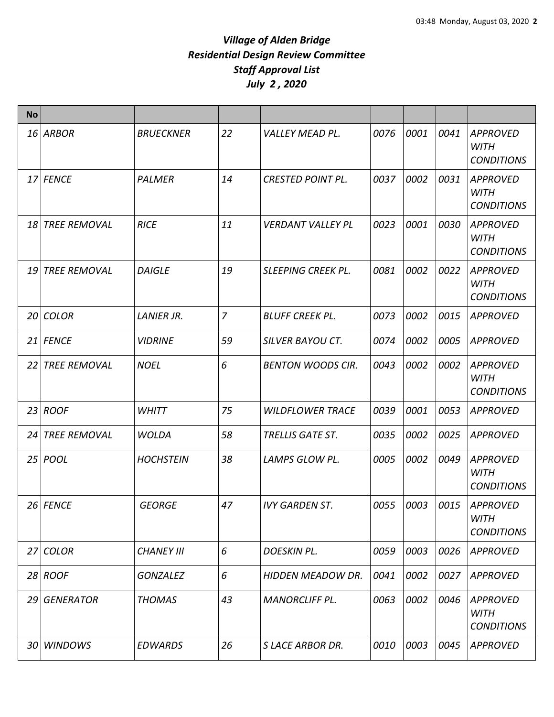| <b>No</b> |                     |                   |                |                           |      |      |      |                                                     |
|-----------|---------------------|-------------------|----------------|---------------------------|------|------|------|-----------------------------------------------------|
|           | 16 ARBOR            | <b>BRUECKNER</b>  | 22             | <b>VALLEY MEAD PL.</b>    | 0076 | 0001 | 0041 | <b>APPROVED</b><br><b>WITH</b><br><b>CONDITIONS</b> |
|           | 17 FENCE            | PALMER            | 14             | <b>CRESTED POINT PL.</b>  | 0037 | 0002 | 0031 | <b>APPROVED</b><br><b>WITH</b><br><b>CONDITIONS</b> |
|           | 18 TREE REMOVAL     | <b>RICE</b>       | 11             | <b>VERDANT VALLEY PL</b>  | 0023 | 0001 | 0030 | <b>APPROVED</b><br><b>WITH</b><br><b>CONDITIONS</b> |
| 19        | <b>TREE REMOVAL</b> | <b>DAIGLE</b>     | 19             | <b>SLEEPING CREEK PL.</b> | 0081 | 0002 | 0022 | <b>APPROVED</b><br><b>WITH</b><br><b>CONDITIONS</b> |
| 20        | <b>COLOR</b>        | <b>LANIER JR.</b> | $\overline{7}$ | <b>BLUFF CREEK PL.</b>    | 0073 | 0002 | 0015 | <b>APPROVED</b>                                     |
| 21        | <b>FENCE</b>        | <b>VIDRINE</b>    | 59             | <b>SILVER BAYOU CT.</b>   | 0074 | 0002 | 0005 | <b>APPROVED</b>                                     |
| 22 I      | <b>TREE REMOVAL</b> | <b>NOEL</b>       | 6              | <b>BENTON WOODS CIR.</b>  | 0043 | 0002 | 0002 | <b>APPROVED</b><br><b>WITH</b><br><b>CONDITIONS</b> |
| 23        | <b>ROOF</b>         | <b>WHITT</b>      | 75             | <b>WILDFLOWER TRACE</b>   | 0039 | 0001 | 0053 | <b>APPROVED</b>                                     |
| 24        | <b>TREE REMOVAL</b> | <b>WOLDA</b>      | 58             | <b>TRELLIS GATE ST.</b>   | 0035 | 0002 | 0025 | <b>APPROVED</b>                                     |
|           | 25 <i>POOL</i>      | <b>HOCHSTEIN</b>  | 38             | LAMPS GLOW PL.            | 0005 | 0002 | 0049 | <b>APPROVED</b><br><b>WITH</b><br><b>CONDITIONS</b> |
|           | 26 FENCE            | <b>GEORGE</b>     | 47             | <b>IVY GARDEN ST.</b>     | 0055 | 0003 | 0015 | <b>APPROVED</b><br><b>WITH</b><br><b>CONDITIONS</b> |
| 27        | <b>COLOR</b>        | <b>CHANEY III</b> | 6              | <b>DOESKIN PL.</b>        | 0059 | 0003 | 0026 | <b>APPROVED</b>                                     |
|           | 28 ROOF             | <b>GONZALEZ</b>   | 6              | <b>HIDDEN MEADOW DR.</b>  | 0041 | 0002 | 0027 | <b>APPROVED</b>                                     |
|           | 29 GENERATOR        | <b>THOMAS</b>     | 43             | <b>MANORCLIFF PL.</b>     | 0063 | 0002 | 0046 | <b>APPROVED</b><br><b>WITH</b><br><b>CONDITIONS</b> |
| 30        | <b>WINDOWS</b>      | <b>EDWARDS</b>    | 26             | <b>SLACE ARBOR DR.</b>    | 0010 | 0003 | 0045 | <b>APPROVED</b>                                     |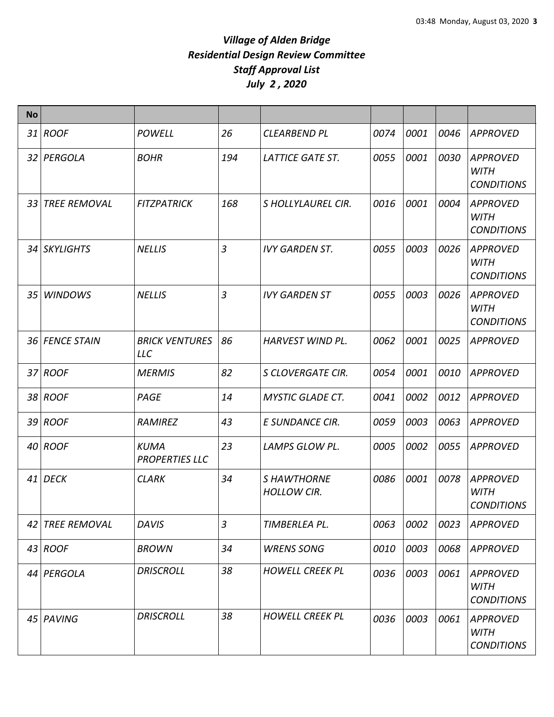| <b>No</b> |                     |                                      |     |                                          |      |      |      |                                                     |
|-----------|---------------------|--------------------------------------|-----|------------------------------------------|------|------|------|-----------------------------------------------------|
|           | 31 ROOF             | <b>POWELL</b>                        | 26  | <b>CLEARBEND PL</b>                      | 0074 | 0001 | 0046 | <b>APPROVED</b>                                     |
|           | 32 PERGOLA          | <b>BOHR</b>                          | 194 | LATTICE GATE ST.                         | 0055 | 0001 | 0030 | <b>APPROVED</b><br><b>WITH</b><br><b>CONDITIONS</b> |
| 33        | <b>TREE REMOVAL</b> | <b>FITZPATRICK</b>                   | 168 | S HOLLYLAUREL CIR.                       | 0016 | 0001 | 0004 | <b>APPROVED</b><br><b>WITH</b><br><b>CONDITIONS</b> |
|           | 34 SKYLIGHTS        | <b>NELLIS</b>                        | 3   | <b>IVY GARDEN ST.</b>                    | 0055 | 0003 | 0026 | <b>APPROVED</b><br><b>WITH</b><br><b>CONDITIONS</b> |
|           | 35 WINDOWS          | <b>NELLIS</b>                        | 3   | <b>IVY GARDEN ST</b>                     | 0055 | 0003 | 0026 | <b>APPROVED</b><br><b>WITH</b><br><b>CONDITIONS</b> |
|           | 36 FENCE STAIN      | <b>BRICK VENTURES</b><br><b>LLC</b>  | 86  | HARVEST WIND PL.                         | 0062 | 0001 | 0025 | <b>APPROVED</b>                                     |
|           | 37 ROOF             | <b>MERMIS</b>                        | 82  | S CLOVERGATE CIR.                        | 0054 | 0001 | 0010 | <b>APPROVED</b>                                     |
|           | 38 ROOF             | PAGE                                 | 14  | <b>MYSTIC GLADE CT.</b>                  | 0041 | 0002 | 0012 | <b>APPROVED</b>                                     |
|           | 39 ROOF             | <b>RAMIREZ</b>                       | 43  | E SUNDANCE CIR.                          | 0059 | 0003 | 0063 | <b>APPROVED</b>                                     |
|           | 40 ROOF             | <b>KUMA</b><br><b>PROPERTIES LLC</b> | 23  | LAMPS GLOW PL.                           | 0005 | 0002 | 0055 | <b>APPROVED</b>                                     |
|           | 41 DECK             | <b>CLARK</b>                         | 34  | <b>S HAWTHORNE</b><br><b>HOLLOW CIR.</b> | 0086 | 0001 | 0078 | <b>APPROVED</b><br><b>WITH</b><br><b>CONDITIONS</b> |
| 42        | <b>TREE REMOVAL</b> | <b>DAVIS</b>                         | 3   | TIMBERLEA PL.                            | 0063 | 0002 | 0023 | <b>APPROVED</b>                                     |
|           | $43$ ROOF           | <b>BROWN</b>                         | 34  | <b>WRENS SONG</b>                        | 0010 | 0003 | 0068 | <b>APPROVED</b>                                     |
|           | 44 PERGOLA          | <b>DRISCROLL</b>                     | 38  | <b>HOWELL CREEK PL</b>                   | 0036 | 0003 | 0061 | <b>APPROVED</b><br>WITH<br><b>CONDITIONS</b>        |
|           | 45 PAVING           | <b>DRISCROLL</b>                     | 38  | <b>HOWELL CREEK PL</b>                   | 0036 | 0003 | 0061 | <b>APPROVED</b><br><b>WITH</b><br><b>CONDITIONS</b> |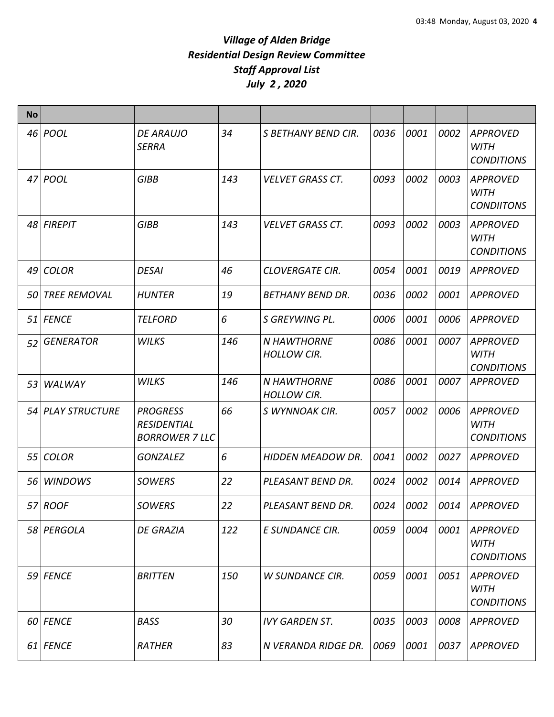| <b>No</b> |                   |                                                                |     |                                          |      |      |      |                                                     |
|-----------|-------------------|----------------------------------------------------------------|-----|------------------------------------------|------|------|------|-----------------------------------------------------|
|           | 46 <i>POOL</i>    | <b>DE ARAUJO</b><br><b>SERRA</b>                               | 34  | S BETHANY BEND CIR.                      | 0036 | 0001 | 0002 | <b>APPROVED</b><br><b>WITH</b><br><b>CONDITIONS</b> |
| 47        | <b>POOL</b>       | <b>GIBB</b>                                                    | 143 | <b>VELVET GRASS CT.</b>                  | 0093 | 0002 | 0003 | <b>APPROVED</b><br><b>WITH</b><br><b>CONDIITONS</b> |
|           | 48 FIREPIT        | <b>GIBB</b>                                                    | 143 | <b>VELVET GRASS CT.</b>                  | 0093 | 0002 | 0003 | <b>APPROVED</b><br><b>WITH</b><br><b>CONDITIONS</b> |
| 49        | <b>COLOR</b>      | <b>DESAI</b>                                                   | 46  | <b>CLOVERGATE CIR.</b>                   | 0054 | 0001 | 0019 | <b>APPROVED</b>                                     |
|           | 50 TREE REMOVAL   | <b>HUNTER</b>                                                  | 19  | <b>BETHANY BEND DR.</b>                  | 0036 | 0002 | 0001 | <b>APPROVED</b>                                     |
|           | 51 FENCE          | <b>TELFORD</b>                                                 | 6   | S GREYWING PL.                           | 0006 | 0001 | 0006 | <b>APPROVED</b>                                     |
| 52        | <b>GENERATOR</b>  | <b>WILKS</b>                                                   | 146 | <b>N HAWTHORNE</b><br><b>HOLLOW CIR.</b> | 0086 | 0001 | 0007 | <b>APPROVED</b><br><b>WITH</b><br><b>CONDITIONS</b> |
| 53        | WALWAY            | <b>WILKS</b>                                                   | 146 | <b>N HAWTHORNE</b><br><b>HOLLOW CIR.</b> | 0086 | 0001 | 0007 | <b>APPROVED</b>                                     |
|           | 54 PLAY STRUCTURE | <b>PROGRESS</b><br><b>RESIDENTIAL</b><br><b>BORROWER 7 LLC</b> | 66  | S WYNNOAK CIR.                           | 0057 | 0002 | 0006 | <b>APPROVED</b><br><b>WITH</b><br><b>CONDITIONS</b> |
| 55        | <b>COLOR</b>      | <b>GONZALEZ</b>                                                | 6   | <b>HIDDEN MEADOW DR.</b>                 | 0041 | 0002 | 0027 | <b>APPROVED</b>                                     |
|           | 56 WINDOWS        | <b>SOWERS</b>                                                  | 22  | PLEASANT BEND DR.                        | 0024 | 0002 | 0014 | <b>APPROVED</b>                                     |
|           | 57 ROOF           | <b>SOWERS</b>                                                  | 22  | PLEASANT BEND DR.                        | 0024 | 0002 | 0014 | <b>APPROVED</b>                                     |
|           | 58 PERGOLA        | <b>DE GRAZIA</b>                                               | 122 | E SUNDANCE CIR.                          | 0059 | 0004 | 0001 | <b>APPROVED</b><br><b>WITH</b><br><b>CONDITIONS</b> |
|           | 59 FENCE          | <b>BRITTEN</b>                                                 | 150 | <b>W SUNDANCE CIR.</b>                   | 0059 | 0001 | 0051 | <b>APPROVED</b><br><b>WITH</b><br><b>CONDITIONS</b> |
|           | 60 FENCE          | <b>BASS</b>                                                    | 30  | <b>IVY GARDEN ST.</b>                    | 0035 | 0003 | 0008 | <b>APPROVED</b>                                     |
|           | 61 FENCE          | RATHER                                                         | 83  | N VERANDA RIDGE DR.                      | 0069 | 0001 | 0037 | APPROVED                                            |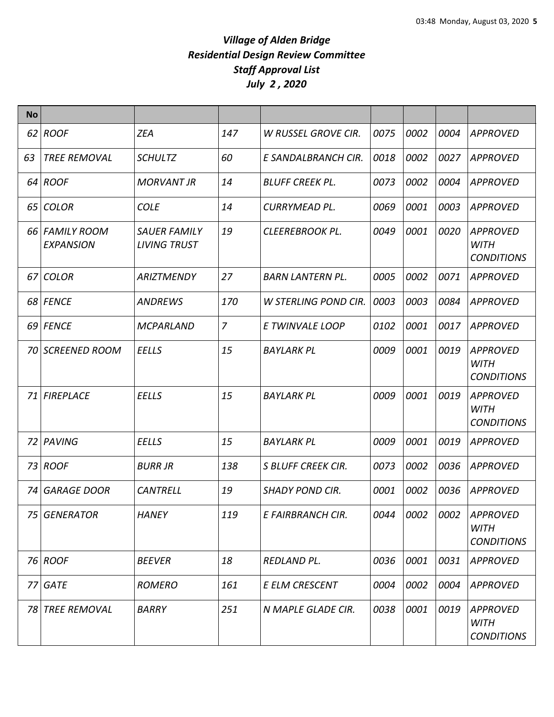| <b>No</b> |                                    |                                            |                |                             |      |      |      |                                                     |
|-----------|------------------------------------|--------------------------------------------|----------------|-----------------------------|------|------|------|-----------------------------------------------------|
|           | 62 ROOF                            | <b>ZEA</b>                                 | 147            | W RUSSEL GROVE CIR.         | 0075 | 0002 | 0004 | <b>APPROVED</b>                                     |
| 63        | <b>TREE REMOVAL</b>                | <b>SCHULTZ</b>                             | 60             | E SANDALBRANCH CIR.         | 0018 | 0002 | 0027 | <b>APPROVED</b>                                     |
|           | 64 ROOF                            | <b>MORVANT JR</b>                          | 14             | <b>BLUFF CREEK PL.</b>      | 0073 | 0002 | 0004 | <b>APPROVED</b>                                     |
|           | 65 COLOR                           | <b>COLE</b>                                | 14             | CURRYMEAD PL.               | 0069 | 0001 | 0003 | APPROVED                                            |
|           | 66 FAMILY ROOM<br><b>EXPANSION</b> | <b>SAUER FAMILY</b><br><b>LIVING TRUST</b> | 19             | CLEEREBROOK PL.             | 0049 | 0001 | 0020 | <b>APPROVED</b><br><b>WITH</b><br><b>CONDITIONS</b> |
|           | 67 COLOR                           | <b>ARIZTMENDY</b>                          | 27             | <b>BARN LANTERN PL.</b>     | 0005 | 0002 | 0071 | <b>APPROVED</b>                                     |
|           | 68 FENCE                           | <b>ANDREWS</b>                             | 170            | <b>W STERLING POND CIR.</b> | 0003 | 0003 | 0084 | <b>APPROVED</b>                                     |
|           | 69 FENCE                           | <b>MCPARLAND</b>                           | $\overline{z}$ | E TWINVALE LOOP             | 0102 | 0001 | 0017 | <b>APPROVED</b>                                     |
|           | 70 SCREENED ROOM                   | <b>EELLS</b>                               | 15             | <b>BAYLARK PL</b>           | 0009 | 0001 | 0019 | <b>APPROVED</b><br><b>WITH</b><br><b>CONDITIONS</b> |
|           | <b>71 FIREPLACE</b>                | <b>EELLS</b>                               | 15             | <b>BAYLARK PL</b>           | 0009 | 0001 | 0019 | <b>APPROVED</b><br><b>WITH</b><br><b>CONDITIONS</b> |
|           | 72 PAVING                          | <b>EELLS</b>                               | 15             | <b>BAYLARK PL</b>           | 0009 | 0001 | 0019 | <b>APPROVED</b>                                     |
|           | 73 ROOF                            | <b>BURR JR</b>                             | 138            | S BLUFF CREEK CIR.          | 0073 | 0002 | 0036 | <b>APPROVED</b>                                     |
| 74        | <b>GARAGE DOOR</b>                 | <b>CANTRELL</b>                            | 19             | <b>SHADY POND CIR.</b>      | 0001 | 0002 | 0036 | <b>APPROVED</b>                                     |
|           | 75 GENERATOR                       | <b>HANEY</b>                               | 119            | E FAIRBRANCH CIR.           | 0044 | 0002 | 0002 | APPROVED<br><b>WITH</b><br><b>CONDITIONS</b>        |
|           | 76 ROOF                            | <b>BEEVER</b>                              | 18             | REDLAND PL.                 | 0036 | 0001 | 0031 | <b>APPROVED</b>                                     |
| 77        | GATE                               | <b>ROMERO</b>                              | 161            | E ELM CRESCENT              | 0004 | 0002 | 0004 | <b>APPROVED</b>                                     |
|           | 78 TREE REMOVAL                    | <b>BARRY</b>                               | 251            | N MAPLE GLADE CIR.          | 0038 | 0001 | 0019 | <b>APPROVED</b><br><b>WITH</b><br><b>CONDITIONS</b> |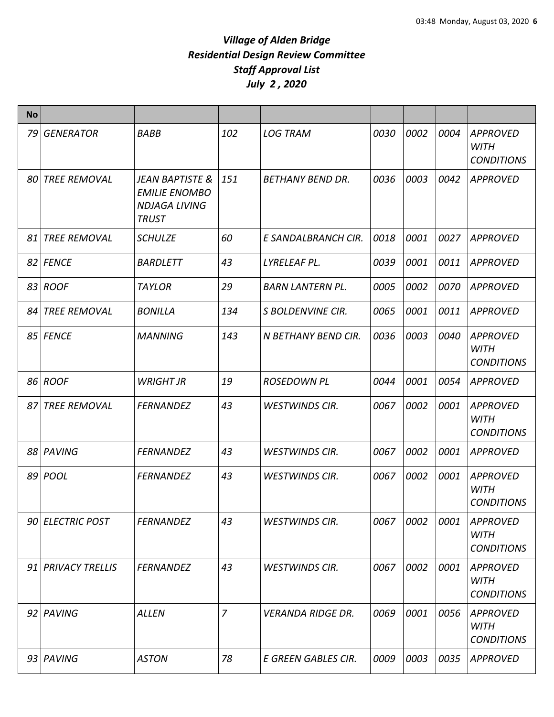| <b>No</b> |                     |                                                                                            |                |                          |      |      |      |                                                     |
|-----------|---------------------|--------------------------------------------------------------------------------------------|----------------|--------------------------|------|------|------|-----------------------------------------------------|
| 79        | <b>GENERATOR</b>    | <b>BABB</b>                                                                                | 102            | <b>LOG TRAM</b>          | 0030 | 0002 | 0004 | <b>APPROVED</b><br><b>WITH</b><br><b>CONDITIONS</b> |
| 801       | <b>TREE REMOVAL</b> | <b>JEAN BAPTISTE &amp;</b><br><b>EMILIE ENOMBO</b><br><b>NDJAGA LIVING</b><br><b>TRUST</b> | 151            | <b>BETHANY BEND DR.</b>  | 0036 | 0003 | 0042 | <b>APPROVED</b>                                     |
| 81        | <b>TREE REMOVAL</b> | <b>SCHULZE</b>                                                                             | 60             | E SANDALBRANCH CIR.      | 0018 | 0001 | 0027 | <b>APPROVED</b>                                     |
|           | 82 FENCE            | <b>BARDLETT</b>                                                                            | 43             | LYRELEAF PL.             | 0039 | 0001 | 0011 | <b>APPROVED</b>                                     |
|           | 83 ROOF             | <b>TAYLOR</b>                                                                              | 29             | <b>BARN LANTERN PL.</b>  | 0005 | 0002 | 0070 | <b>APPROVED</b>                                     |
|           | 84 TREE REMOVAL     | <b>BONILLA</b>                                                                             | 134            | S BOLDENVINE CIR.        | 0065 | 0001 | 0011 | <b>APPROVED</b>                                     |
|           | 85 FENCE            | <b>MANNING</b>                                                                             | 143            | N BETHANY BEND CIR.      | 0036 | 0003 | 0040 | <b>APPROVED</b><br><b>WITH</b><br><b>CONDITIONS</b> |
|           | 86 ROOF             | <b>WRIGHT JR</b>                                                                           | 19             | <b>ROSEDOWN PL</b>       | 0044 | 0001 | 0054 | <b>APPROVED</b>                                     |
| 87        | <b>TREE REMOVAL</b> | <b>FERNANDEZ</b>                                                                           | 43             | <b>WESTWINDS CIR.</b>    | 0067 | 0002 | 0001 | <b>APPROVED</b><br><b>WITH</b><br><b>CONDITIONS</b> |
|           | 88 PAVING           | <b>FERNANDEZ</b>                                                                           | 43             | <b>WESTWINDS CIR.</b>    | 0067 | 0002 | 0001 | <b>APPROVED</b>                                     |
|           | 89 POOL             | <b>FERNANDEZ</b>                                                                           | 43             | <b>WESTWINDS CIR.</b>    | 0067 | 0002 | 0001 | <b>APPROVED</b><br><b>WITH</b><br><b>CONDITIONS</b> |
|           | 90 ELECTRIC POST    | <b>FERNANDEZ</b>                                                                           | 43             | <b>WESTWINDS CIR.</b>    | 0067 | 0002 | 0001 | <b>APPROVED</b><br><b>WITH</b><br><b>CONDITIONS</b> |
|           | 91 PRIVACY TRELLIS  | <b>FERNANDEZ</b>                                                                           | 43             | <b>WESTWINDS CIR.</b>    | 0067 | 0002 | 0001 | <b>APPROVED</b><br><b>WITH</b><br><b>CONDITIONS</b> |
|           | 92 PAVING           | <b>ALLEN</b>                                                                               | $\overline{7}$ | <b>VERANDA RIDGE DR.</b> | 0069 | 0001 | 0056 | <b>APPROVED</b><br><b>WITH</b><br><b>CONDITIONS</b> |
|           | 93 PAVING           | <b>ASTON</b>                                                                               | 78             | E GREEN GABLES CIR.      | 0009 | 0003 | 0035 | <b>APPROVED</b>                                     |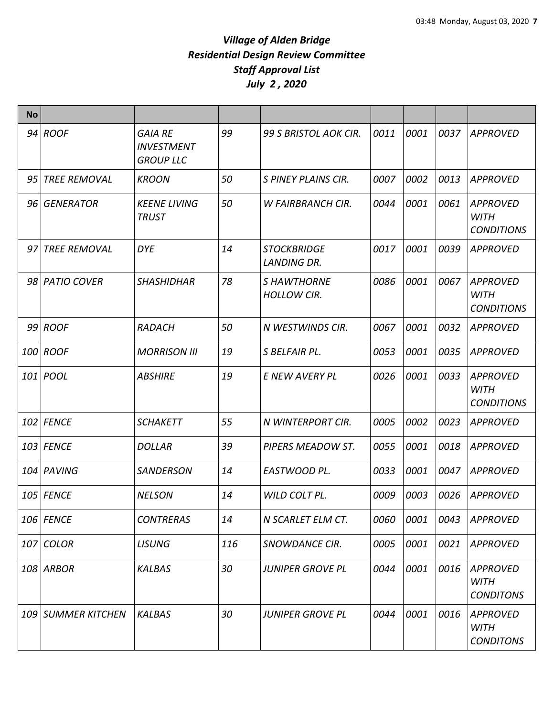| <b>No</b> |                     |                                                         |     |                                          |      |      |      |                                                     |
|-----------|---------------------|---------------------------------------------------------|-----|------------------------------------------|------|------|------|-----------------------------------------------------|
|           | $94$ ROOF           | <b>GAIA RE</b><br><b>INVESTMENT</b><br><b>GROUP LLC</b> | 99  | 99 S BRISTOL AOK CIR.                    | 0011 | 0001 | 0037 | <b>APPROVED</b>                                     |
| 95        | <b>TREE REMOVAL</b> | <b>KROON</b>                                            | 50  | S PINEY PLAINS CIR.                      | 0007 | 0002 | 0013 | <b>APPROVED</b>                                     |
| 96        | GENERATOR           | <b>KEENE LIVING</b><br><b>TRUST</b>                     | 50  | <b>W FAIRBRANCH CIR.</b>                 | 0044 | 0001 | 0061 | <b>APPROVED</b><br><b>WITH</b><br><b>CONDITIONS</b> |
| 97        | <b>TREE REMOVAL</b> | <b>DYE</b>                                              | 14  | <b>STOCKBRIDGE</b><br><b>LANDING DR.</b> | 0017 | 0001 | 0039 | <b>APPROVED</b>                                     |
|           | 98 PATIO COVER      | <b>SHASHIDHAR</b>                                       | 78  | S HAWTHORNE<br><b>HOLLOW CIR.</b>        | 0086 | 0001 | 0067 | <b>APPROVED</b><br>WITH<br><b>CONDITIONS</b>        |
|           | 99 ROOF             | <b>RADACH</b>                                           | 50  | N WESTWINDS CIR.                         | 0067 | 0001 | 0032 | APPROVED                                            |
|           | 100 ROOF            | <b>MORRISON III</b>                                     | 19  | S BELFAIR PL.                            | 0053 | 0001 | 0035 | <b>APPROVED</b>                                     |
|           | 101 POOL            | <b>ABSHIRE</b>                                          | 19  | E NEW AVERY PL                           | 0026 | 0001 | 0033 | <b>APPROVED</b><br><b>WITH</b><br><b>CONDITIONS</b> |
|           | 102 FENCE           | <b>SCHAKETT</b>                                         | 55  | N WINTERPORT CIR.                        | 0005 | 0002 | 0023 | <b>APPROVED</b>                                     |
|           | 103 FENCE           | <b>DOLLAR</b>                                           | 39  | PIPERS MEADOW ST.                        | 0055 | 0001 | 0018 | <b>APPROVED</b>                                     |
|           | 104 PAVING          | <b>SANDERSON</b>                                        | 14  | EASTWOOD PL.                             | 0033 | 0001 | 0047 | <b>APPROVED</b>                                     |
|           | <b>105 FENCE</b>    | <b>NELSON</b>                                           | 14  | WILD COLT PL.                            | 0009 | 0003 | 0026 | <b>APPROVED</b>                                     |
|           | 106 FENCE           | <b>CONTRERAS</b>                                        | 14  | N SCARLET ELM CT.                        | 0060 | 0001 | 0043 | <b>APPROVED</b>                                     |
|           | 107 COLOR           | <b>LISUNG</b>                                           | 116 | SNOWDANCE CIR.                           | 0005 | 0001 | 0021 | <b>APPROVED</b>                                     |
|           | 108 ARBOR           | <b>KALBAS</b>                                           | 30  | <b>JUNIPER GROVE PL</b>                  | 0044 | 0001 | 0016 | <b>APPROVED</b><br><b>WITH</b><br><b>CONDITONS</b>  |
|           | 109 SUMMER KITCHEN  | <b>KALBAS</b>                                           | 30  | <b>JUNIPER GROVE PL</b>                  | 0044 | 0001 | 0016 | <b>APPROVED</b><br><b>WITH</b><br><b>CONDITONS</b>  |